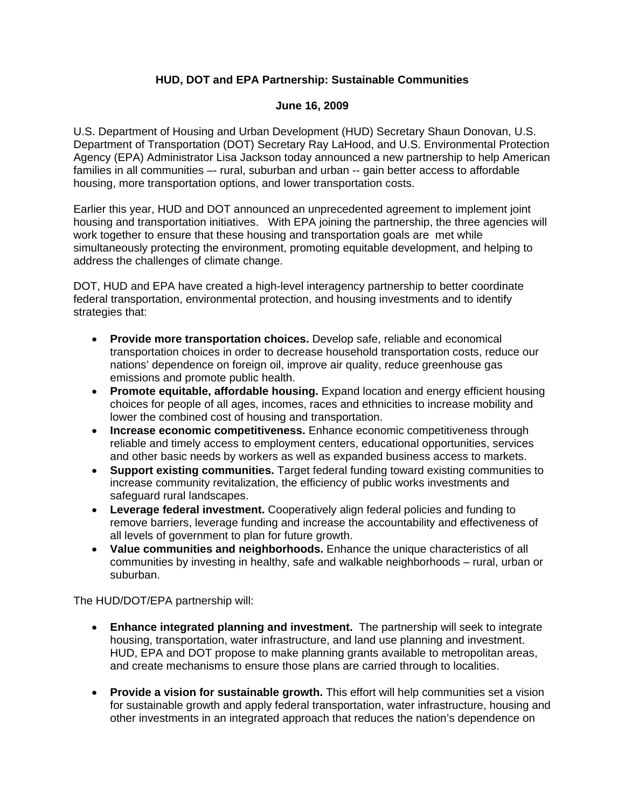## **HUD, DOT and EPA Partnership: Sustainable Communities**

## **June 16, 2009**

U.S. Department of Housing and Urban Development (HUD) Secretary Shaun Donovan, U.S. Department of Transportation (DOT) Secretary Ray LaHood, and U.S. Environmental Protection Agency (EPA) Administrator Lisa Jackson today announced a new partnership to help American families in all communities -- rural, suburban and urban -- gain better access to affordable housing, more transportation options, and lower transportation costs.

Earlier this year, HUD and DOT announced an unprecedented agreement to implement joint housing and transportation initiatives. With EPA joining the partnership, the three agencies will work together to ensure that these housing and transportation goals are met while simultaneously protecting the environment, promoting equitable development, and helping to address the challenges of climate change.

DOT, HUD and EPA have created a high-level interagency partnership to better coordinate federal transportation, environmental protection, and housing investments and to identify strategies that:

- • **Provide more transportation choices.** Develop safe, reliable and economical transportation choices in order to decrease household transportation costs, reduce our nations' dependence on foreign oil, improve air quality, reduce greenhouse gas emissions and promote public health.
- Promote equitable, affordable housing. Expand location and energy efficient housing choices for people of all ages, incomes, races and ethnicities to increase mobility and lower the combined cost of housing and transportation.
- • **Increase economic competitiveness.** Enhance economic competitiveness through reliable and timely access to employment centers, educational opportunities, services and other basic needs by workers as well as expanded business access to markets.
- • **Support existing communities.** Target federal funding toward existing communities to increase community revitalization, the efficiency of public works investments and safeguard rural landscapes.
- • **Leverage federal investment.** Cooperatively align federal policies and funding to remove barriers, leverage funding and increase the accountability and effectiveness of all levels of government to plan for future growth.
- • **Value communities and neighborhoods.** Enhance the unique characteristics of all communities by investing in healthy, safe and walkable neighborhoods – rural, urban or suburban.

The HUD/DOT/EPA partnership will:

- • **Enhance integrated planning and investment.** The partnership will seek to integrate housing, transportation, water infrastructure, and land use planning and investment. HUD, EPA and DOT propose to make planning grants available to metropolitan areas, and create mechanisms to ensure those plans are carried through to localities.
- **Provide a vision for sustainable growth.** This effort will help communities set a vision for sustainable growth and apply federal transportation, water infrastructure, housing and other investments in an integrated approach that reduces the nation's dependence on